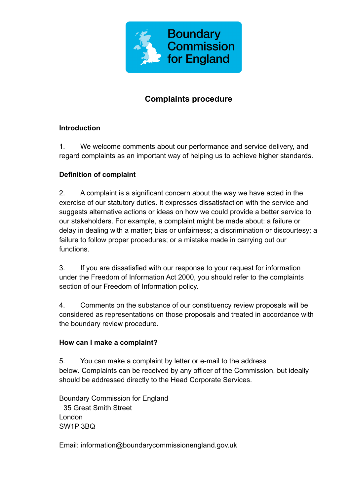

# **Complaints procedure**

### **Introduction**

1. We welcome comments about our performance and service delivery, and regard complaints as an important way of helping us to achieve higher standards.

## **Definition of complaint**

2. A complaint is a significant concern about the way we have acted in the exercise of our statutory duties. It expresses dissatisfaction with the service and suggests alternative actions or ideas on how we could provide a better service to our stakeholders. For example, a complaint might be made about: a failure or delay in dealing with a matter; bias or unfairness; a discrimination or discourtesy; a failure to follow proper procedures; or a mistake made in carrying out our functions.

3. If you are dissatisfied with our response to your request for information under the Freedom of Information Act 2000, you should refer to the complaints section of our Freedom of Information policy.

4. Comments on the substance of our constituency review proposals will be considered as representations on those proposals and treated in accordance with the boundary review procedure.

### **How can I make a complaint?**

5. You can make a complaint by letter or e-mail to the address below**.** Complaints can be received by any officer of the Commission, but ideally should be addressed directly to the Head Corporate Services.

Boundary Commission for England 35 Great Smith Street London SW1P 3BQ

Email: information@boundarycommissionengland.gov.uk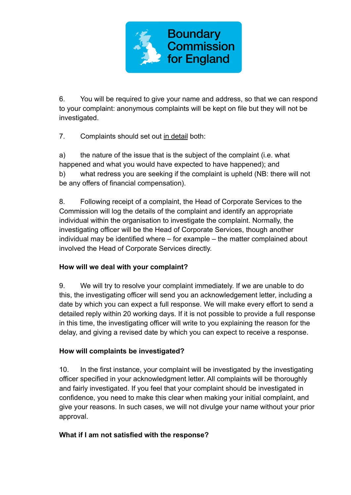

6. You will be required to give your name and address, so that we can respond to your complaint: anonymous complaints will be kept on file but they will not be investigated.

7. Complaints should set out in detail both:

a) the nature of the issue that is the subject of the complaint (i.e. what happened and what you would have expected to have happened); and b) what redress you are seeking if the complaint is upheld (NB: there will not be any offers of financial compensation).

8. Following receipt of a complaint, the Head of Corporate Services to the Commission will log the details of the complaint and identify an appropriate individual within the organisation to investigate the complaint. Normally, the investigating officer will be the Head of Corporate Services, though another individual may be identified where – for example – the matter complained about involved the Head of Corporate Services directly.

### **How will we deal with your complaint?**

9. We will try to resolve your complaint immediately. If we are unable to do this, the investigating officer will send you an acknowledgement letter, including a date by which you can expect a full response. We will make every effort to send a detailed reply within 20 working days. If it is not possible to provide a full response in this time, the investigating officer will write to you explaining the reason for the delay, and giving a revised date by which you can expect to receive a response.

### **How will complaints be investigated?**

10. In the first instance, your complaint will be investigated by the investigating officer specified in your acknowledgment letter. All complaints will be thoroughly and fairly investigated. If you feel that your complaint should be investigated in confidence, you need to make this clear when making your initial complaint, and give your reasons. In such cases, we will not divulge your name without your prior approval.

### **What if I am not satisfied with the response?**